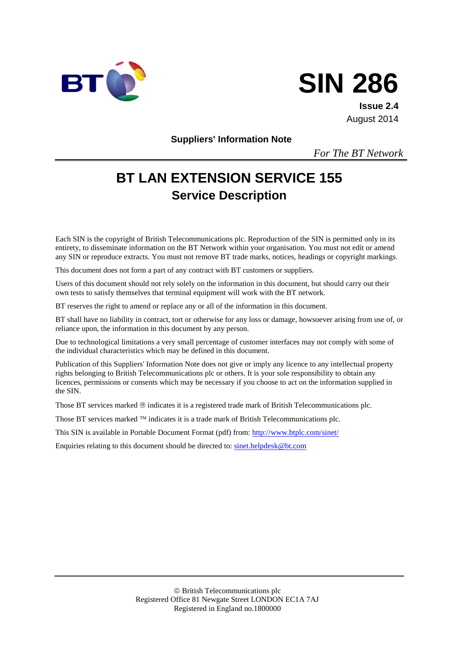



**Issue 2.4** August 2014

**Suppliers' Information Note**

*For The BT Network*

# **BT LAN EXTENSION SERVICE 155 Service Description**

Each SIN is the copyright of British Telecommunications plc. Reproduction of the SIN is permitted only in its entirety, to disseminate information on the BT Network within your organisation. You must not edit or amend any SIN or reproduce extracts. You must not remove BT trade marks, notices, headings or copyright markings.

This document does not form a part of any contract with BT customers or suppliers.

Users of this document should not rely solely on the information in this document, but should carry out their own tests to satisfy themselves that terminal equipment will work with the BT network.

BT reserves the right to amend or replace any or all of the information in this document.

BT shall have no liability in contract, tort or otherwise for any loss or damage, howsoever arising from use of, or reliance upon, the information in this document by any person.

Due to technological limitations a very small percentage of customer interfaces may not comply with some of the individual characteristics which may be defined in this document.

Publication of this Suppliers' Information Note does not give or imply any licence to any intellectual property rights belonging to British Telecommunications plc or others. It is your sole responsibility to obtain any licences, permissions or consents which may be necessary if you choose to act on the information supplied in the SIN.

Those BT services marked  $\circledcirc$  indicates it is a registered trade mark of British Telecommunications plc.

Those BT services marked  $TM$  indicates it is a trade mark of British Telecommunications plc.

This SIN is available in Portable Document Format (pdf) from:<http://www.btplc.com/sinet/>

Enquiries relating to this document should be directed to: [sinet.helpdesk@bt.com](mailto:sinet.helpdesk@bt.com)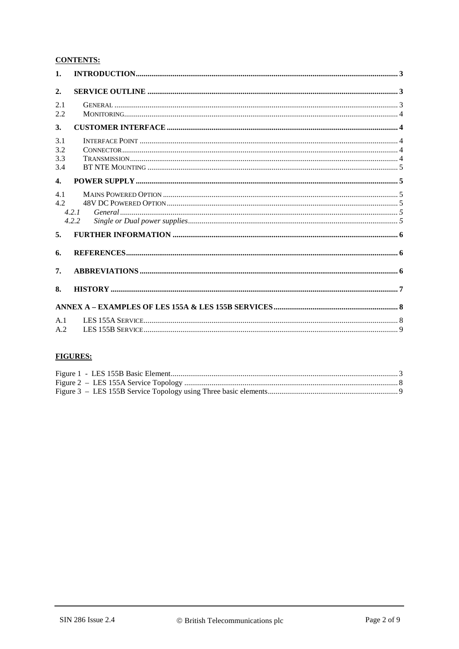#### **CONTENTS:**

| 1.                       |                |  |
|--------------------------|----------------|--|
| 2.                       |                |  |
| 2.1<br>2.2               |                |  |
| 3.                       |                |  |
| 3.1<br>3.2<br>3.3<br>3.4 |                |  |
| 4.                       |                |  |
| 4.1<br>4.2               | 4.2.1<br>4.2.2 |  |
| 5.                       |                |  |
| 6.                       |                |  |
| 7.                       |                |  |
| 8.                       |                |  |
|                          |                |  |
| A.1<br>A.2               |                |  |

### **FIGURES:**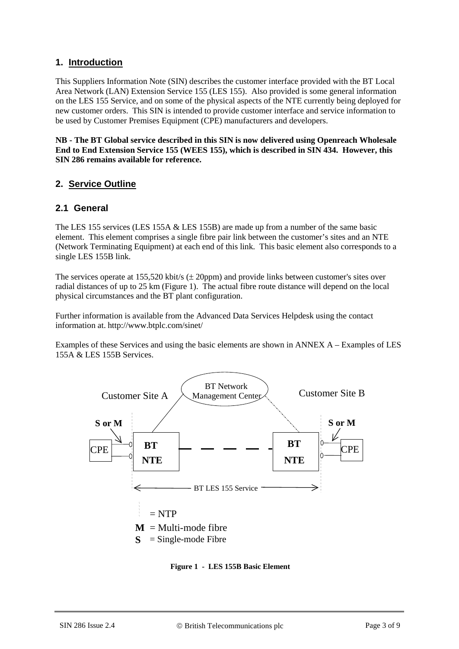#### **1. Introduction**

This Suppliers Information Note (SIN) describes the customer interface provided with the BT Local Area Network (LAN) Extension Service 155 (LES 155). Also provided is some general information on the LES 155 Service, and on some of the physical aspects of the NTE currently being deployed for new customer orders. This SIN is intended to provide customer interface and service information to be used by Customer Premises Equipment (CPE) manufacturers and developers.

**NB - The BT Global service described in this SIN is now delivered using Openreach Wholesale End to End Extension Service 155 (WEES 155), which is described in SIN 434. However, this SIN 286 remains available for reference.**

#### **2. Service Outline**

#### **2.1 General**

The LES 155 services (LES 155A & LES 155B) are made up from a number of the same basic element. This element comprises a single fibre pair link between the customer's sites and an NTE (Network Terminating Equipment) at each end of this link. This basic element also corresponds to a single LES 155B link.

The services operate at 155,520 kbit/s  $(\pm 20$ ppm) and provide links between customer's sites over radial distances of up to 25 km [\(Figure 1\)](#page-2-0). The actual fibre route distance will depend on the local physical circumstances and the BT plant configuration.

Further information is available from the Advanced Data Services Helpdesk using the contact information at. http://www.btplc.com/sinet/

Examples of these Services and using the basic elements are shown in ANNEX A – [Examples of LES](#page-7-0)  [155A & LES 155B Services.](#page-7-0)



<span id="page-2-0"></span>**Figure 1 - LES 155B Basic Element**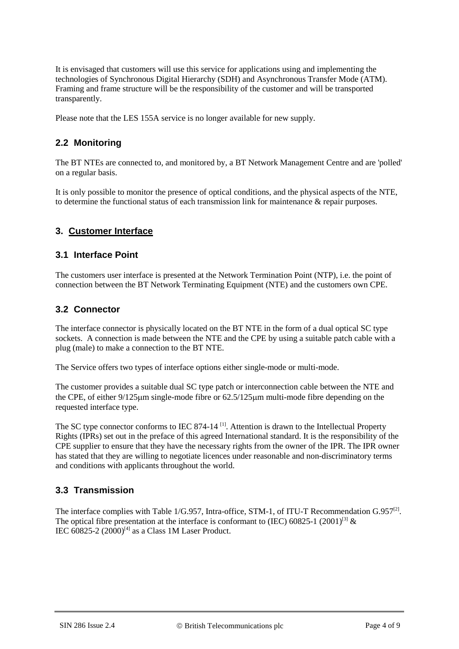It is envisaged that customers will use this service for applications using and implementing the technologies of Synchronous Digital Hierarchy (SDH) and Asynchronous Transfer Mode (ATM). Framing and frame structure will be the responsibility of the customer and will be transported transparently.

Please note that the LES 155A service is no longer available for new supply.

## **2.2 Monitoring**

The BT NTEs are connected to, and monitored by, a BT Network Management Centre and are 'polled' on a regular basis.

It is only possible to monitor the presence of optical conditions, and the physical aspects of the NTE, to determine the functional status of each transmission link for maintenance & repair purposes.

## **3. Customer Interface**

#### **3.1 Interface Point**

The customers user interface is presented at the Network Termination Point (NTP), i.e. the point of connection between the BT Network Terminating Equipment (NTE) and the customers own CPE.

#### **3.2 Connector**

The interface connector is physically located on the BT NTE in the form of a dual optical SC type sockets. A connection is made between the NTE and the CPE by using a suitable patch cable with a plug (male) to make a connection to the BT NTE.

The Service offers two types of interface options either single-mode or multi-mode.

The customer provides a suitable dual SC type patch or interconnection cable between the NTE and the CPE, of either 9/125µm single-mode fibre or 62.5/125µm multi-mode fibre depending on the requested interface type.

The SC type connector conforms to IEC 874-14<sup>[1]</sup>. Attention is drawn to the Intellectual Property Rights (IPRs) set out in the preface of this agreed International standard. It is the responsibility of the CPE supplier to ensure that they have the necessary rights from the owner of the IPR. The IPR owner has stated that they are willing to negotiate licences under reasonable and non-discriminatory terms and conditions with applicants throughout the world.

#### **3.3 Transmission**

The interface complies with Table 1/G.957, Intra-office, STM-1, of ITU-T Recommendation  $G.957^{[2]}$ . The optical fibre presentation at the interface is conformant to (IEC) 60825-1 (2001)<sup>[3]</sup>  $\&$ IEC  $60825-2$   $(2000)^{[4]}$  as a Class 1M Laser Product.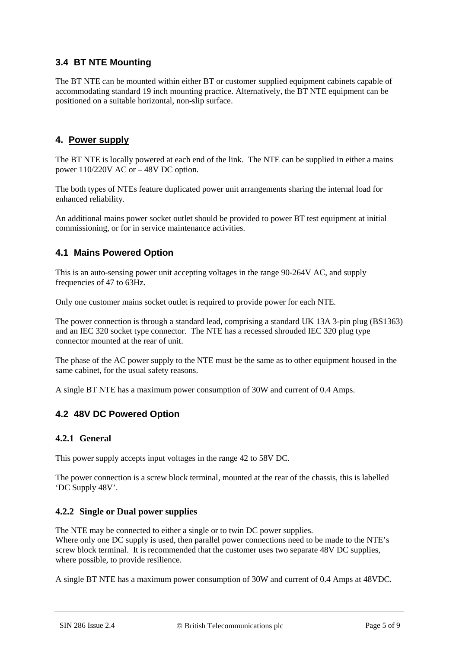## **3.4 BT NTE Mounting**

The BT NTE can be mounted within either BT or customer supplied equipment cabinets capable of accommodating standard 19 inch mounting practice. Alternatively, the BT NTE equipment can be positioned on a suitable horizontal, non-slip surface.

## **4. Power supply**

The BT NTE is locally powered at each end of the link. The NTE can be supplied in either a mains power 110/220V AC or – 48V DC option.

The both types of NTEs feature duplicated power unit arrangements sharing the internal load for enhanced reliability.

An additional mains power socket outlet should be provided to power BT test equipment at initial commissioning, or for in service maintenance activities.

## **4.1 Mains Powered Option**

This is an auto-sensing power unit accepting voltages in the range 90-264V AC, and supply frequencies of 47 to 63Hz.

Only one customer mains socket outlet is required to provide power for each NTE.

The power connection is through a standard lead, comprising a standard UK 13A 3-pin plug (BS1363) and an IEC 320 socket type connector. The NTE has a recessed shrouded IEC 320 plug type connector mounted at the rear of unit.

The phase of the AC power supply to the NTE must be the same as to other equipment housed in the same cabinet, for the usual safety reasons.

A single BT NTE has a maximum power consumption of 30W and current of 0.4 Amps.

## **4.2 48V DC Powered Option**

#### **4.2.1 General**

This power supply accepts input voltages in the range 42 to 58V DC.

The power connection is a screw block terminal, mounted at the rear of the chassis, this is labelled 'DC Supply 48V'.

#### **4.2.2 Single or Dual power supplies**

The NTE may be connected to either a single or to twin DC power supplies. Where only one DC supply is used, then parallel power connections need to be made to the NTE's screw block terminal. It is recommended that the customer uses two separate 48V DC supplies, where possible, to provide resilience.

A single BT NTE has a maximum power consumption of 30W and current of 0.4 Amps at 48VDC.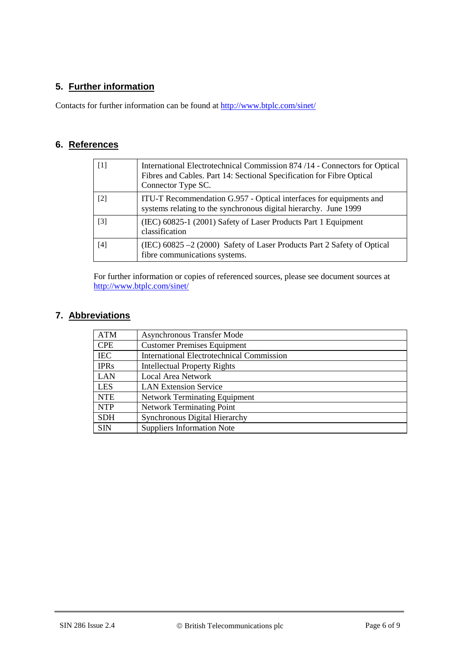## **5. Further information**

Contacts for further information can be found at<http://www.btplc.com/sinet/>

## **6. References**

<span id="page-5-1"></span><span id="page-5-0"></span>

| $\lceil 1 \rceil$ | International Electrotechnical Commission 874/14 - Connectors for Optical<br>Fibres and Cables. Part 14: Sectional Specification for Fibre Optical<br>Connector Type SC. |  |
|-------------------|--------------------------------------------------------------------------------------------------------------------------------------------------------------------------|--|
| $\lceil 2 \rceil$ | ITU-T Recommendation G.957 - Optical interfaces for equipments and<br>systems relating to the synchronous digital hierarchy. June 1999                                   |  |
| $\lceil 3 \rceil$ | (IEC) 60825-1 (2001) Safety of Laser Products Part 1 Equipment<br>classification                                                                                         |  |
| $[4]$             | (IEC) $60825 - 2(2000)$ Safety of Laser Products Part 2 Safety of Optical<br>fibre communications systems.                                                               |  |

<span id="page-5-3"></span><span id="page-5-2"></span>For further information or copies of referenced sources, please see document sources at <http://www.btplc.com/sinet/>

## **7. Abbreviations**

| <b>ATM</b>                                         | <b>Asynchronous Transfer Mode</b>                |  |  |
|----------------------------------------------------|--------------------------------------------------|--|--|
| <b>CPE</b>                                         | <b>Customer Premises Equipment</b>               |  |  |
| <b>IEC</b>                                         | <b>International Electrotechnical Commission</b> |  |  |
| <b>IPRs</b><br><b>Intellectual Property Rights</b> |                                                  |  |  |
| <b>LAN</b><br><b>Local Area Network</b>            |                                                  |  |  |
| <b>LES</b>                                         | <b>LAN Extension Service</b>                     |  |  |
| <b>NTE</b>                                         | <b>Network Terminating Equipment</b>             |  |  |
| <b>NTP</b>                                         | <b>Network Terminating Point</b>                 |  |  |
| <b>SDH</b>                                         | <b>Synchronous Digital Hierarchy</b>             |  |  |
| <b>SIN</b>                                         | <b>Suppliers Information Note</b>                |  |  |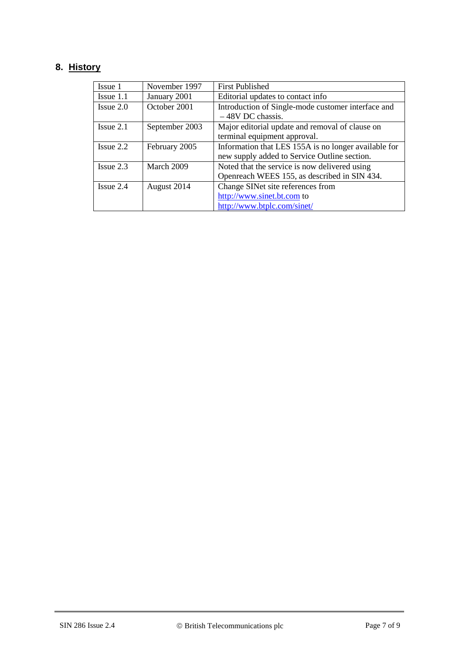## **8. History**

| Issue 1        | November 1997  | <b>First Published</b>                               |
|----------------|----------------|------------------------------------------------------|
|                |                |                                                      |
| $I$ ssue 1.1   | January 2001   | Editorial updates to contact info                    |
| $I$ ssue $2.0$ | October 2001   | Introduction of Single-mode customer interface and   |
|                |                | $-48V$ DC chassis.                                   |
| $I$ ssue 2.1   | September 2003 | Major editorial update and removal of clause on      |
|                |                | terminal equipment approval.                         |
| $I$ ssue $2.2$ | February 2005  | Information that LES 155A is no longer available for |
|                |                | new supply added to Service Outline section.         |
| $I$ ssue 2.3   | March 2009     | Noted that the service is now delivered using        |
|                |                | Openreach WEES 155, as described in SIN 434.         |
| $I$ ssue 2.4   | August 2014    | Change SINet site references from                    |
|                |                | http://www.sinet.bt.com to                           |
|                |                | http://www.btplc.com/sinet/                          |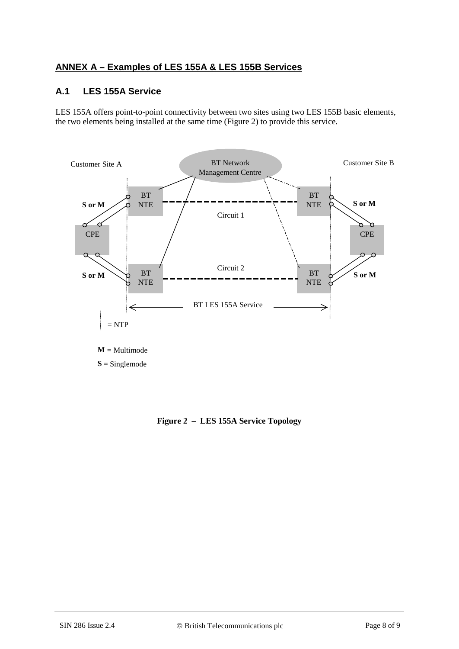## <span id="page-7-0"></span>**ANNEX A – Examples of LES 155A & LES 155B Services**

## **A.1 LES 155A Service**

LES 155A offers point-to-point connectivity between two sites using two LES 155B basic elements, the two elements being installed at the same time [\(Figure 2\)](#page-7-1) to provide this service.



<span id="page-7-1"></span>**S** = Singlemode

**Figure 2 – LES 155A Service Topology**